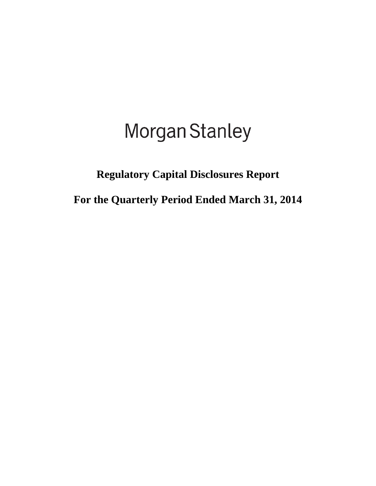# Morgan Stanley

# **Regulatory Capital Disclosures Report**

**For the Quarterly Period Ended March 31, 2014**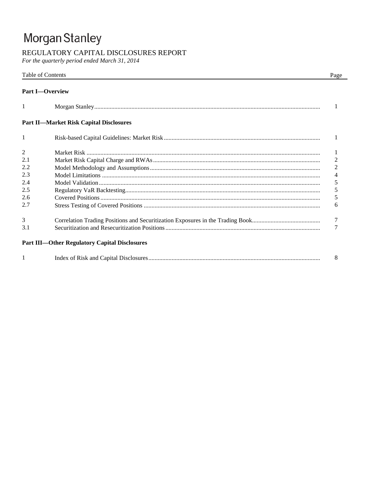# Morgan Stanley

## REGULATORY CAPITAL DISCLOSURES REPORT

For the quarterly period ended March 31, 2014

|                | Table of Contents                                    | Page           |
|----------------|------------------------------------------------------|----------------|
|                | <b>Part I</b> -Overview                              |                |
| 1              |                                                      |                |
|                | <b>Part II-Market Risk Capital Disclosures</b>       |                |
| $\mathbf{1}$   |                                                      | 1              |
| $\overline{2}$ |                                                      |                |
| 2.1            |                                                      | $\mathbf{2}$   |
| 2.2            |                                                      | $\overline{2}$ |
| 2.3            |                                                      | 4              |
| 2.4            |                                                      | 5              |
| 2.5            |                                                      | 5              |
| 2.6            |                                                      | 5              |
| 2.7            |                                                      | 6              |
| 3              |                                                      | 7              |
| 3.1            |                                                      |                |
|                | <b>Part III-Other Regulatory Capital Disclosures</b> |                |
|                |                                                      | 8              |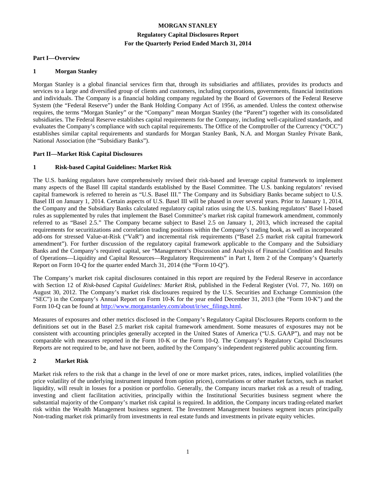### **MORGAN STANLEY Regulatory Capital Disclosures Report For the Quarterly Period Ended March 31, 2014**

#### **Part I—Overview**

#### **1 Morgan Stanley**

Morgan Stanley is a global financial services firm that, through its subsidiaries and affiliates, provides its products and services to a large and diversified group of clients and customers, including corporations, governments, financial institutions and individuals. The Company is a financial holding company regulated by the Board of Governors of the Federal Reserve System (the "Federal Reserve") under the Bank Holding Company Act of 1956, as amended. Unless the context otherwise requires, the terms "Morgan Stanley" or the "Company" mean Morgan Stanley (the "Parent") together with its consolidated subsidiaries. The Federal Reserve establishes capital requirements for the Company, including well-capitalized standards, and evaluates the Company's compliance with such capital requirements. The Office of the Comptroller of the Currency ("OCC") establishes similar capital requirements and standards for Morgan Stanley Bank, N.A. and Morgan Stanley Private Bank, National Association (the "Subsidiary Banks").

#### **Part II—Market Risk Capital Disclosures**

#### **1 Risk-based Capital Guidelines: Market Risk**

The U.S. banking regulators have comprehensively revised their risk-based and leverage capital framework to implement many aspects of the Basel III capital standards established by the Basel Committee. The U.S. banking regulators' revised capital framework is referred to herein as "U.S. Basel III." The Company and its Subsidiary Banks became subject to U.S. Basel III on January 1, 2014. Certain aspects of U.S. Basel III will be phased in over several years. Prior to January 1, 2014, the Company and the Subsidiary Banks calculated regulatory capital ratios using the U.S. banking regulators' Basel I-based rules as supplemented by rules that implement the Basel Committee's market risk capital framework amendment, commonly referred to as "Basel 2.5." The Company became subject to Basel 2.5 on January 1, 2013, which increased the capital requirements for securitizations and correlation trading positions within the Company's trading book, as well as incorporated add-ons for stressed Value-at-Risk ("VaR") and incremental risk requirements ("Basel 2.5 market risk capital framework amendment"). For further discussion of the regulatory capital framework applicable to the Company and the Subsidiary Banks and the Company's required capital, see "Management's Discussion and Analysis of Financial Condition and Results of Operations—Liquidity and Capital Resources—Regulatory Requirements" in Part I, Item 2 of the Company's Quarterly Report on Form 10-Q for the quarter ended March 31, 2014 (the "Form 10-Q").

The Company's market risk capital disclosures contained in this report are required by the Federal Reserve in accordance with Section 12 of *Risk-based Capital Guidelines: Market Risk*, published in the Federal Register (Vol. 77, No. 169) on August 30, 2012. The Company's market risk disclosures required by the U.S. Securities and Exchange Commission (the "SEC") in the Company's Annual Report on Form 10-K for the year ended December 31, 2013 (the "Form 10-K") and the Form 10-Q can be found at http://www.morganstanley.com/about/ir/sec\_filings.html.

Measures of exposures and other metrics disclosed in the Company's Regulatory Capital Disclosures Reports conform to the definitions set out in the Basel 2.5 market risk capital framework amendment. Some measures of exposures may not be consistent with accounting principles generally accepted in the United States of America ("U.S. GAAP"), and may not be comparable with measures reported in the Form 10-K or the Form 10-Q. The Company's Regulatory Capital Disclosures Reports are not required to be, and have not been, audited by the Company's independent registered public accounting firm.

#### **2 Market Risk**

Market risk refers to the risk that a change in the level of one or more market prices, rates, indices, implied volatilities (the price volatility of the underlying instrument imputed from option prices), correlations or other market factors, such as market liquidity, will result in losses for a position or portfolio. Generally, the Company incurs market risk as a result of trading, investing and client facilitation activities, principally within the Institutional Securities business segment where the substantial majority of the Company's market risk capital is required. In addition, the Company incurs trading-related market risk within the Wealth Management business segment. The Investment Management business segment incurs principally Non-trading market risk primarily from investments in real estate funds and investments in private equity vehicles.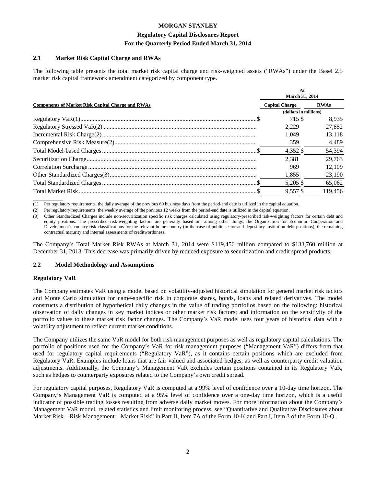#### **Regulatory Capital Disclosures Report For the Quarterly Period Ended March 31, 2014**

#### **2.1 Market Risk Capital Charge and RWAs**

The following table presents the total market risk capital charge and risk-weighted assets ("RWAs") under the Basel 2.5 market risk capital framework amendment categorized by component type.

|                                                          | At<br><b>March 31, 2014</b> |             |  |
|----------------------------------------------------------|-----------------------------|-------------|--|
| <b>Components of Market Risk Capital Charge and RWAs</b> | <b>Capital Charge</b>       | <b>RWAs</b> |  |
|                                                          | (dollars in millions)       |             |  |
|                                                          | 715 S                       | 8.935       |  |
|                                                          | 2.229                       | 27,852      |  |
|                                                          | 1.049                       | 13.118      |  |
|                                                          | 359                         | 4.489       |  |
|                                                          | 4,352 \$                    | 54.394      |  |
|                                                          | 2.381                       | 29.763      |  |
|                                                          | 969                         | 12.109      |  |
|                                                          | 1,855                       | 23,190      |  |
|                                                          | 5.205 \$                    | 65,062      |  |
|                                                          | $9.557$ \$                  | 119.456     |  |

 $\overline{\phantom{a}}$ (1) Per regulatory requirements, the daily average of the previous 60 business days from the period-end date is utilized in the capital equation.

(2) Per regulatory requirements, the weekly average of the previous 12 weeks from the period-end date is utilized in the capital equation.

(3) Other Standardized Charges include non-securitization specific risk charges calculated using regulatory-prescribed risk-weighting factors for certain debt and equity positions. The prescribed risk-weighting factors are generally based on, among other things, the Organization for Economic Cooperation and Development's country risk classifications for the relevant home country (in the case of public sector and depository institution debt positions), the remaining contractual maturity and internal assessments of creditworthiness.

The Company's Total Market Risk RWAs at March 31, 2014 were \$119,456 million compared to \$133,760 million at December 31, 2013. This decrease was primarily driven by reduced exposure to securitization and credit spread products.

#### **2.2 Model Methodology and Assumptions**

#### **Regulatory VaR**

The Company estimates VaR using a model based on volatility-adjusted historical simulation for general market risk factors and Monte Carlo simulation for name-specific risk in corporate shares, bonds, loans and related derivatives. The model constructs a distribution of hypothetical daily changes in the value of trading portfolios based on the following: historical observation of daily changes in key market indices or other market risk factors; and information on the sensitivity of the portfolio values to these market risk factor changes. The Company's VaR model uses four years of historical data with a volatility adjustment to reflect current market conditions.

The Company utilizes the same VaR model for both risk management purposes as well as regulatory capital calculations. The portfolio of positions used for the Company's VaR for risk management purposes ("Management VaR") differs from that used for regulatory capital requirements ("Regulatory VaR"), as it contains certain positions which are excluded from Regulatory VaR. Examples include loans that are fair valued and associated hedges, as well as counterparty credit valuation adjustments. Additionally, the Company's Management VaR excludes certain positions contained in its Regulatory VaR, such as hedges to counterparty exposures related to the Company's own credit spread.

For regulatory capital purposes, Regulatory VaR is computed at a 99% level of confidence over a 10-day time horizon. The Company's Management VaR is computed at a 95% level of confidence over a one-day time horizon, which is a useful indicator of possible trading losses resulting from adverse daily market moves. For more information about the Company's Management VaR model, related statistics and limit monitoring process, see "Quantitative and Qualitative Disclosures about Market Risk—Risk Management—Market Risk" in Part II, Item 7A of the Form 10-K and Part I, Item 3 of the Form 10-Q.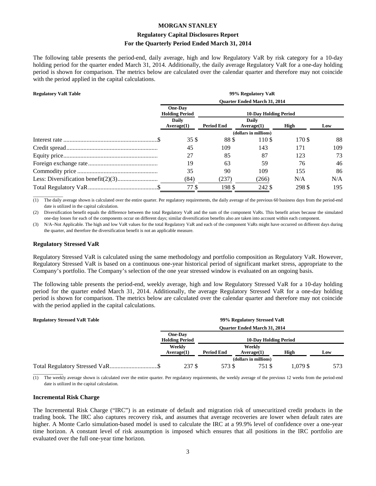### **Regulatory Capital Disclosures Report For the Quarterly Period Ended March 31, 2014**

The following table presents the period-end, daily average, high and low Regulatory VaR by risk category for a 10-day holding period for the quarter ended March 31, 2014. Additionally, the daily average Regulatory VaR for a one-day holding period is shown for comparison. The metrics below are calculated over the calendar quarter and therefore may not coincide with the period applied in the capital calculations.

| <b>Regulatory VaR Table</b> | 99% Regulatory VaR                      |                   |                              |        |     |  |
|-----------------------------|-----------------------------------------|-------------------|------------------------------|--------|-----|--|
|                             | <b>Ouarter Ended March 31, 2014</b>     |                   |                              |        |     |  |
|                             | <b>One-Day</b><br><b>Holding Period</b> |                   | <b>10-Day Holding Period</b> |        |     |  |
|                             | <b>Daily</b><br>Average(1)              | <b>Period End</b> | <b>Daily</b><br>Average(1)   | High   | Low |  |
|                             | (dollars in millions)                   |                   |                              |        |     |  |
|                             | 35\$                                    | 88\$              | 110\$                        | 170 \$ | 88  |  |
|                             | 45                                      | 109               | 143                          | 171    | 109 |  |
|                             | 27                                      | 85                | 87                           | 123    | 73  |  |
|                             | 19                                      | 63                | 59                           | 76     | 46  |  |
|                             | 35                                      | 90                | 109                          | 155    | 86  |  |
|                             | (84)                                    | (237)             | (266)                        | N/A    | N/A |  |
|                             | 77 \$                                   | 198 \$            | 242 \$                       | 298 \$ | 195 |  |

 $\overline{\phantom{a}}$ (1) The daily average shown is calculated over the entire quarter. Per regulatory requirements, the daily average of the previous 60 business days from the period-end date is utilized in the capital calculation.

(2) Diversification benefit equals the difference between the total Regulatory VaR and the sum of the component VaRs. This benefit arises because the simulated one-day losses for each of the components occur on different days; similar diversification benefits also are taken into account within each component.

(3) N/A–Not Applicable. The high and low VaR values for the total Regulatory VaR and each of the component VaRs might have occurred on different days during the quarter, and therefore the diversification benefit is not an applicable measure.

#### **Regulatory Stressed VaR**

Regulatory Stressed VaR is calculated using the same methodology and portfolio composition as Regulatory VaR. However, Regulatory Stressed VaR is based on a continuous one-year historical period of significant market stress, appropriate to the Company's portfolio. The Company's selection of the one year stressed window is evaluated on an ongoing basis.

The following table presents the period-end, weekly average, high and low Regulatory Stressed VaR for a 10-day holding period for the quarter ended March 31, 2014. Additionally, the average Regulatory Stressed VaR for a one-day holding period is shown for comparison. The metrics below are calculated over the calendar quarter and therefore may not coincide with the period applied in the capital calculations.

| <b>Regulatory Stressed VaR Table</b> | 99% Regulatory Stressed VaR             |                   |                                     |         |     |
|--------------------------------------|-----------------------------------------|-------------------|-------------------------------------|---------|-----|
|                                      |                                         |                   | <b>Ouarter Ended March 31, 2014</b> |         |     |
|                                      | <b>One-Day</b><br><b>Holding Period</b> |                   | <b>10-Day Holding Period</b>        |         |     |
|                                      | Weekly<br>Average(1)                    | <b>Period End</b> | Weekly<br>Average(1)                | High    | Low |
|                                      |                                         |                   | (dollars in millions)               |         |     |
|                                      | 237 \$                                  | 573 S             | 751 S                               | LO79 \$ | 573 |

 $\overline{\phantom{a}}$  , where  $\overline{\phantom{a}}$ The weekly average shown is calculated over the entire quarter. Per regulatory requirements, the weekly average of the previous 12 weeks from the period-end date is utilized in the capital calculation.

#### **Incremental Risk Charge**

The Incremental Risk Charge ("IRC") is an estimate of default and migration risk of unsecuritized credit products in the trading book. The IRC also captures recovery risk, and assumes that average recoveries are lower when default rates are higher. A Monte Carlo simulation-based model is used to calculate the IRC at a 99.9% level of confidence over a one-year time horizon. A constant level of risk assumption is imposed which ensures that all positions in the IRC portfolio are evaluated over the full one-year time horizon.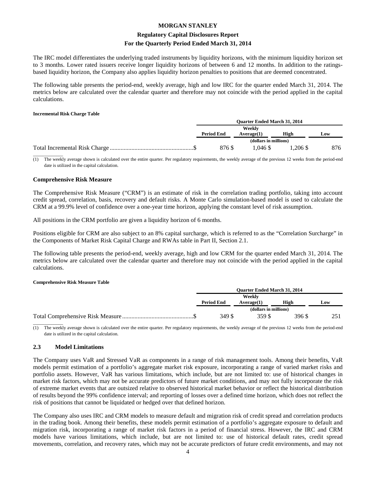#### **Regulatory Capital Disclosures Report For the Quarterly Period Ended March 31, 2014**

The IRC model differentiates the underlying traded instruments by liquidity horizons, with the minimum liquidity horizon set to 3 months. Lower rated issuers receive longer liquidity horizons of between 6 and 12 months. In addition to the ratingsbased liquidity horizon, the Company also applies liquidity horizon penalties to positions that are deemed concentrated.

The following table presents the period-end, weekly average, high and low IRC for the quarter ended March 31, 2014. The metrics below are calculated over the calendar quarter and therefore may not coincide with the period applied in the capital calculations.

#### **Incremental Risk Charge Table**

| <b>Ouarter Ended March 31, 2014</b> |                       |         |     |
|-------------------------------------|-----------------------|---------|-----|
| Weekly                              |                       |         |     |
| <b>Period End</b>                   | Average(1)            | High    | Low |
|                                     | (dollars in millions) |         |     |
| 876 \$                              | 1.046.\$              | .206 \$ | 876 |
|                                     |                       |         |     |

(1) The weekly average shown is calculated over the entire quarter. Per regulatory requirements, the weekly average of the previous 12 weeks from the period-end date is utilized in the capital calculation.

#### **Comprehensive Risk Measure**

The Comprehensive Risk Measure ("CRM") is an estimate of risk in the correlation trading portfolio, taking into account credit spread, correlation, basis, recovery and default risks. A Monte Carlo simulation-based model is used to calculate the CRM at a 99.9% level of confidence over a one-year time horizon, applying the constant level of risk assumption.

All positions in the CRM portfolio are given a liquidity horizon of 6 months.

Positions eligible for CRM are also subject to an 8% capital surcharge, which is referred to as the "Correlation Surcharge" in the Components of Market Risk Capital Charge and RWAs table in Part II, Section 2.1.

The following table presents the period-end, weekly average, high and low CRM for the quarter ended March 31, 2014. The metrics below are calculated over the calendar quarter and therefore may not coincide with the period applied in the capital calculations.

#### **Comprehensive Risk Measure Table**

| <b>Ouarter Ended March 31, 2014</b> |                       |        |                 |
|-------------------------------------|-----------------------|--------|-----------------|
| Weekly                              |                       |        |                 |
| <b>Period End</b>                   | Average(1)            | High   | Low             |
|                                     | (dollars in millions) |        |                 |
| 349 S                               | 359 S                 | 396 \$ | 25 <sup>1</sup> |
|                                     |                       |        |                 |

(1) The weekly average shown is calculated over the entire quarter. Per regulatory requirements, the weekly average of the previous 12 weeks from the period-end date is utilized in the capital calculation.

#### **2.3 Model Limitations**

The Company uses VaR and Stressed VaR as components in a range of risk management tools. Among their benefits, VaR models permit estimation of a portfolio's aggregate market risk exposure, incorporating a range of varied market risks and portfolio assets. However, VaR has various limitations, which include, but are not limited to: use of historical changes in market risk factors, which may not be accurate predictors of future market conditions, and may not fully incorporate the risk of extreme market events that are outsized relative to observed historical market behavior or reflect the historical distribution of results beyond the 99% confidence interval; and reporting of losses over a defined time horizon, which does not reflect the risk of positions that cannot be liquidated or hedged over that defined horizon.

The Company also uses IRC and CRM models to measure default and migration risk of credit spread and correlation products in the trading book. Among their benefits, these models permit estimation of a portfolio's aggregate exposure to default and migration risk, incorporating a range of market risk factors in a period of financial stress. However, the IRC and CRM models have various limitations, which include, but are not limited to: use of historical default rates, credit spread movements, correlation, and recovery rates, which may not be accurate predictors of future credit environments, and may not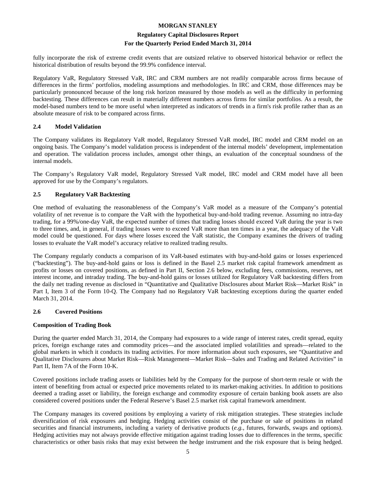#### **Regulatory Capital Disclosures Report For the Quarterly Period Ended March 31, 2014**

fully incorporate the risk of extreme credit events that are outsized relative to observed historical behavior or reflect the historical distribution of results beyond the 99.9% confidence interval.

Regulatory VaR, Regulatory Stressed VaR, IRC and CRM numbers are not readily comparable across firms because of differences in the firms' portfolios, modeling assumptions and methodologies. In IRC and CRM, those differences may be particularly pronounced because of the long risk horizon measured by those models as well as the difficulty in performing backtesting. These differences can result in materially different numbers across firms for similar portfolios. As a result, the model-based numbers tend to be more useful when interpreted as indicators of trends in a firm's risk profile rather than as an absolute measure of risk to be compared across firms.

#### **2.4 Model Validation**

The Company validates its Regulatory VaR model, Regulatory Stressed VaR model, IRC model and CRM model on an ongoing basis. The Company's model validation process is independent of the internal models' development, implementation and operation. The validation process includes, amongst other things, an evaluation of the conceptual soundness of the internal models.

The Company's Regulatory VaR model, Regulatory Stressed VaR model, IRC model and CRM model have all been approved for use by the Company's regulators.

#### **2.5 Regulatory VaR Backtesting**

One method of evaluating the reasonableness of the Company's VaR model as a measure of the Company's potential volatility of net revenue is to compare the VaR with the hypothetical buy-and-hold trading revenue. Assuming no intra-day trading, for a 99%/one-day VaR, the expected number of times that trading losses should exceed VaR during the year is two to three times, and, in general, if trading losses were to exceed VaR more than ten times in a year, the adequacy of the VaR model could be questioned. For days where losses exceed the VaR statistic, the Company examines the drivers of trading losses to evaluate the VaR model's accuracy relative to realized trading results.

The Company regularly conducts a comparison of its VaR-based estimates with buy-and-hold gains or losses experienced ("backtesting"). The buy-and-hold gains or loss is defined in the Basel 2.5 market risk capital framework amendment as profits or losses on covered positions, as defined in Part II, Section 2.6 below, excluding fees, commissions, reserves, net interest income, and intraday trading. The buy-and-hold gains or losses utilized for Regulatory VaR backtesting differs from the daily net trading revenue as disclosed in "Quantitative and Qualitative Disclosures about Market Risk—Market Risk" in Part I, Item 3 of the Form 10-Q. The Company had no Regulatory VaR backtesting exceptions during the quarter ended March 31, 2014.

#### **2.6 Covered Positions**

#### **Composition of Trading Book**

During the quarter ended March 31, 2014, the Company had exposures to a wide range of interest rates, credit spread, equity prices, foreign exchange rates and commodity prices—and the associated implied volatilities and spreads—related to the global markets in which it conducts its trading activities. For more information about such exposures, see "Quantitative and Qualitative Disclosures about Market Risk—Risk Management—Market Risk—Sales and Trading and Related Activities" in Part II, Item 7A of the Form 10-K.

Covered positions include trading assets or liabilities held by the Company for the purpose of short-term resale or with the intent of benefiting from actual or expected price movements related to its market-making activities. In addition to positions deemed a trading asset or liability, the foreign exchange and commodity exposure of certain banking book assets are also considered covered positions under the Federal Reserve's Basel 2.5 market risk capital framework amendment.

The Company manages its covered positions by employing a variety of risk mitigation strategies. These strategies include diversification of risk exposures and hedging. Hedging activities consist of the purchase or sale of positions in related securities and financial instruments, including a variety of derivative products (*e.g.*, futures, forwards, swaps and options). Hedging activities may not always provide effective mitigation against trading losses due to differences in the terms, specific characteristics or other basis risks that may exist between the hedge instrument and the risk exposure that is being hedged.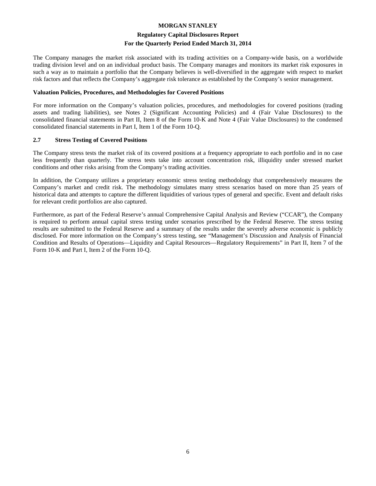#### **Regulatory Capital Disclosures Report For the Quarterly Period Ended March 31, 2014**

The Company manages the market risk associated with its trading activities on a Company-wide basis, on a worldwide trading division level and on an individual product basis. The Company manages and monitors its market risk exposures in such a way as to maintain a portfolio that the Company believes is well-diversified in the aggregate with respect to market risk factors and that reflects the Company's aggregate risk tolerance as established by the Company's senior management.

#### **Valuation Policies, Procedures, and Methodologies for Covered Positions**

For more information on the Company's valuation policies, procedures, and methodologies for covered positions (trading assets and trading liabilities), see Notes 2 (Significant Accounting Policies) and 4 (Fair Value Disclosures) to the consolidated financial statements in Part II, Item 8 of the Form 10-K and Note 4 (Fair Value Disclosures) to the condensed consolidated financial statements in Part I, Item 1 of the Form 10-Q.

#### **2.7 Stress Testing of Covered Positions**

The Company stress tests the market risk of its covered positions at a frequency appropriate to each portfolio and in no case less frequently than quarterly. The stress tests take into account concentration risk, illiquidity under stressed market conditions and other risks arising from the Company's trading activities.

In addition, the Company utilizes a proprietary economic stress testing methodology that comprehensively measures the Company's market and credit risk. The methodology simulates many stress scenarios based on more than 25 years of historical data and attempts to capture the different liquidities of various types of general and specific. Event and default risks for relevant credit portfolios are also captured.

Furthermore, as part of the Federal Reserve's annual Comprehensive Capital Analysis and Review ("CCAR"), the Company is required to perform annual capital stress testing under scenarios prescribed by the Federal Reserve. The stress testing results are submitted to the Federal Reserve and a summary of the results under the severely adverse economic is publicly disclosed. For more information on the Company's stress testing, see "Management's Discussion and Analysis of Financial Condition and Results of Operations—Liquidity and Capital Resources—Regulatory Requirements" in Part II, Item 7 of the Form 10-K and Part I, Item 2 of the Form 10-Q.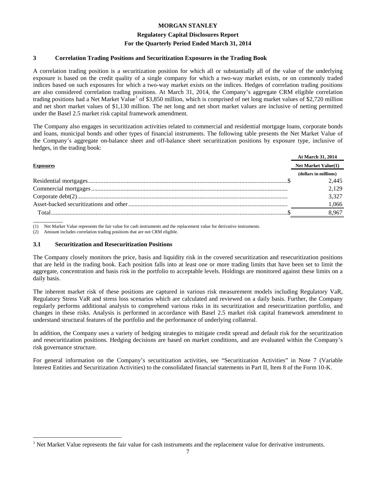#### **Regulatory Capital Disclosures Report For the Quarterly Period Ended March 31, 2014**

#### **3 Correlation Trading Positions and Securitization Exposures in the Trading Book**

A correlation trading position is a securitization position for which all or substantially all of the value of the underlying exposure is based on the credit quality of a single company for which a two-way market exists, or on commonly traded indices based on such exposures for which a two-way market exists on the indices. Hedges of correlation trading positions are also considered correlation trading positions. At March 31, 2014, the Company's aggregate CRM eligible correlation trading positions had a Net Market Value<sup>[1](#page-8-0)</sup> of \$3,850 million, which is comprised of net long market values of \$2,720 million and net short market values of \$1,130 million. The net long and net short market values are inclusive of netting permitted under the Basel 2.5 market risk capital framework amendment.

The Company also engages in securitization activities related to commercial and residential mortgage loans, corporate bonds and loans, municipal bonds and other types of financial instruments. The following table presents the Net Market Value of the Company's aggregate on-balance sheet and off-balance sheet securitization positions by exposure type, inclusive of hedges, in the trading book:

|                  | At March 31, 2014          |
|------------------|----------------------------|
| <b>Exposures</b> | <b>Net Market Value(1)</b> |
|                  | (dollars in millions)      |
|                  | 2.445                      |
|                  | 2,129                      |
|                  | 3,327                      |
|                  | 1,066                      |
|                  | 8,967                      |
|                  |                            |

(1) Net Market Value represents the fair value for cash instruments and the replacement value for derivative instruments.

(2) Amount includes correlation trading positions that are not CRM eligible.

#### **3.1 Securitization and Resecuritization Positions**

The Company closely monitors the price, basis and liquidity risk in the covered securitization and resecuritization positions that are held in the trading book. Each position falls into at least one or more trading limits that have been set to limit the aggregate, concentration and basis risk in the portfolio to acceptable levels. Holdings are monitored against these limits on a daily basis.

The inherent market risk of these positions are captured in various risk measurement models including Regulatory VaR, Regulatory Stress VaR and stress loss scenarios which are calculated and reviewed on a daily basis. Further, the Company regularly performs additional analysis to comprehend various risks in its securitization and resecuritization portfolio, and changes in these risks. Analysis is performed in accordance with Basel 2.5 market risk capital framework amendment to understand structural features of the portfolio and the performance of underlying collateral.

In addition, the Company uses a variety of hedging strategies to mitigate credit spread and default risk for the securitization and resecuritization positions. Hedging decisions are based on market conditions, and are evaluated within the Company's risk governance structure.

For general information on the Company's securitization activities, see "Securitization Activities" in Note 7 (Variable Interest Entities and Securitization Activities) to the consolidated financial statements in Part II, Item 8 of the Form 10-K.

<span id="page-8-0"></span>Net Market Value represents the fair value for cash instruments and the replacement value for derivative instruments.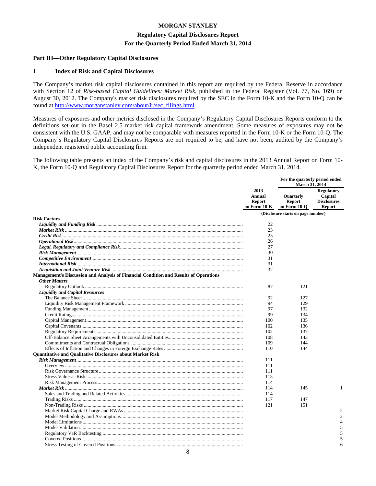#### **Regulatory Capital Disclosures Report For the Quarterly Period Ended March 31, 2014**

#### **Part III—Other Regulatory Capital Disclosures**

#### **1 Index of Risk and Capital Disclosures**

The Company's market risk capital disclosures contained in this report are required by the Federal Reserve in accordance with Section 12 of *Risk-based Capital Guidelines: Market Risk*, published in the Federal Register (Vol. 77, No. 169) on August 30, 2012. The Company's market risk disclosures required by the SEC in the Form 10-K and the Form 10-Q can be found at [http://www.morganstanley.com/about/ir/sec\\_filings.html.](http://www.morganstanley.com/about/ir/sec_filings.html)

Measures of exposures and other metrics disclosed in the Company's Regulatory Capital Disclosures Reports conform to the definitions set out in the Basel 2.5 market risk capital framework amendment. Some measures of exposures may not be consistent with the U.S. GAAP, and may not be comparable with measures reported in the Form 10-K or the Form 10-Q. The Company's Regulatory Capital Disclosures Reports are not required to be, and have not been, audited by the Company's independent registered public accounting firm.

The following table presents an index of the Company's risk and capital disclosures in the 2013 Annual Report on Form 10- K, the Form 10-Q and Regulatory Capital Disclosures Report for the quarterly period ended March 31, 2014.

|                                                                                       | 2013<br><b>Annual</b><br><b>Report</b><br>on Form 10-K | For the quarterly period ended<br><b>March 31, 2014</b> |                                                                     |
|---------------------------------------------------------------------------------------|--------------------------------------------------------|---------------------------------------------------------|---------------------------------------------------------------------|
|                                                                                       |                                                        | Quarterly<br><b>Report</b><br>on Form 10-Q              | <b>Regulatory</b><br>Capital<br><b>Disclosures</b><br><b>Report</b> |
| <b>Risk Factors</b>                                                                   |                                                        | (Disclosure starts on page number)                      |                                                                     |
|                                                                                       | 22                                                     |                                                         |                                                                     |
|                                                                                       | 23                                                     |                                                         |                                                                     |
|                                                                                       | 25                                                     |                                                         |                                                                     |
|                                                                                       | 26                                                     |                                                         |                                                                     |
|                                                                                       | 27                                                     |                                                         |                                                                     |
|                                                                                       | 30                                                     |                                                         |                                                                     |
|                                                                                       | 31                                                     |                                                         |                                                                     |
|                                                                                       | 31                                                     |                                                         |                                                                     |
|                                                                                       | 32                                                     |                                                         |                                                                     |
| Management's Discussion and Analysis of Financial Condition and Results of Operations |                                                        |                                                         |                                                                     |
| <b>Other Matters</b>                                                                  |                                                        |                                                         |                                                                     |
|                                                                                       | 87                                                     | 121                                                     |                                                                     |
| <b>Liquidity and Capital Resources</b>                                                |                                                        |                                                         |                                                                     |
|                                                                                       | 92                                                     | 127                                                     |                                                                     |
|                                                                                       | 94                                                     | 129                                                     |                                                                     |
|                                                                                       | 97                                                     | 132                                                     |                                                                     |
|                                                                                       | 99                                                     | 134                                                     |                                                                     |
|                                                                                       | 100                                                    | 135                                                     |                                                                     |
|                                                                                       | 102                                                    | 136                                                     |                                                                     |
|                                                                                       | 102                                                    | 137                                                     |                                                                     |
|                                                                                       | 108                                                    | 143                                                     |                                                                     |
|                                                                                       | 109                                                    | 144                                                     |                                                                     |
|                                                                                       |                                                        |                                                         |                                                                     |
|                                                                                       | 110                                                    | 144                                                     |                                                                     |
| <b>Ouantitative and Oualitative Disclosures about Market Risk</b>                     |                                                        |                                                         |                                                                     |
|                                                                                       | 111                                                    |                                                         |                                                                     |
|                                                                                       | 111                                                    |                                                         |                                                                     |
|                                                                                       | 111<br>113                                             |                                                         |                                                                     |
|                                                                                       |                                                        |                                                         |                                                                     |
|                                                                                       | 114                                                    |                                                         | 1                                                                   |
|                                                                                       | 114                                                    | 145                                                     |                                                                     |
|                                                                                       | 114                                                    |                                                         |                                                                     |
|                                                                                       | 117<br>121                                             | 147<br>151                                              |                                                                     |
|                                                                                       |                                                        |                                                         | $\overline{2}$                                                      |
|                                                                                       |                                                        |                                                         | $\mathfrak{D}$                                                      |
|                                                                                       |                                                        |                                                         |                                                                     |
|                                                                                       |                                                        |                                                         | 4                                                                   |
|                                                                                       |                                                        |                                                         | 5                                                                   |
|                                                                                       |                                                        |                                                         | 5                                                                   |
|                                                                                       |                                                        |                                                         | 5                                                                   |
|                                                                                       |                                                        |                                                         | 6                                                                   |

8